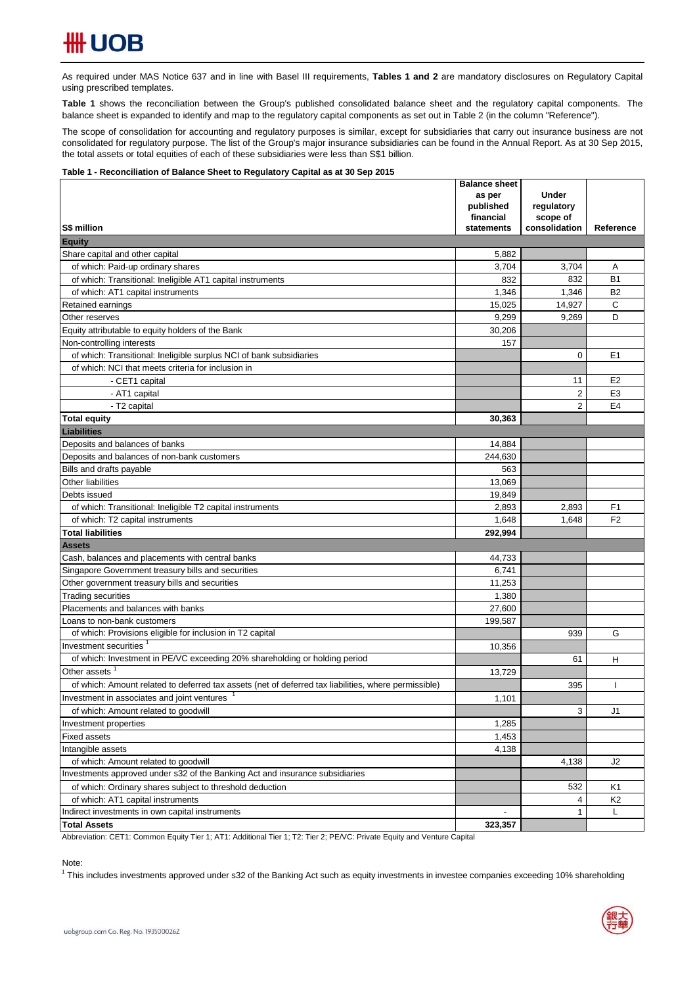As required under MAS Notice 637 and in line with Basel III requirements, Tables 1 and 2 are mandatory disclosures on Regulatory Capital using prescribed templates.

**Table 1** shows the reconciliation between the Group's published consolidated balance sheet and the regulatory capital components. The balance sheet is expanded to identify and map to the regulatory capital components as set out in Table 2 (in the column "Reference").

The scope of consolidation for accounting and regulatory purposes is similar, except for subsidiaries that carry out insurance business are not consolidated for regulatory purpose. The list of the Group's major insurance subsidiaries can be found in the Annual Report. As at 30 Sep 2015, the total assets or total equities of each of these subsidiaries were less than S\$1 billion.

### **Table 1 - Reconciliation of Balance Sheet to Regulatory Capital as at 30 Sep 2015**

|                                                                                                        | <b>Balance sheet</b><br>as per | <b>Under</b>   |                |
|--------------------------------------------------------------------------------------------------------|--------------------------------|----------------|----------------|
|                                                                                                        | published                      | regulatory     |                |
|                                                                                                        | financial                      | scope of       |                |
| S\$ million                                                                                            | statements                     | consolidation  | Reference      |
| <b>Equity</b>                                                                                          |                                |                |                |
| Share capital and other capital                                                                        | 5,882                          |                |                |
| of which: Paid-up ordinary shares                                                                      | 3,704                          | 3,704          | Α              |
| of which: Transitional: Ineligible AT1 capital instruments                                             | 832                            | 832            | <b>B1</b>      |
| of which: AT1 capital instruments                                                                      | 1,346                          | 1,346          | <b>B2</b>      |
| Retained earnings                                                                                      | 15.025                         | 14,927         | C              |
| Other reserves                                                                                         | 9,299                          | 9,269          | D              |
| Equity attributable to equity holders of the Bank                                                      | 30,206                         |                |                |
| Non-controlling interests                                                                              | 157                            |                |                |
| of which: Transitional: Ineligible surplus NCI of bank subsidiaries                                    |                                | 0              | E1             |
| of which: NCI that meets criteria for inclusion in                                                     |                                |                |                |
| - CET1 capital                                                                                         |                                | 11             | E <sub>2</sub> |
| - AT1 capital                                                                                          |                                | $\overline{2}$ | E <sub>3</sub> |
| - T2 capital                                                                                           |                                | $\overline{2}$ | E <sub>4</sub> |
| <b>Total equity</b>                                                                                    | 30.363                         |                |                |
| <b>Liabilities</b>                                                                                     |                                |                |                |
| Deposits and balances of banks                                                                         | 14,884                         |                |                |
| Deposits and balances of non-bank customers                                                            | 244,630                        |                |                |
| Bills and drafts payable                                                                               | 563                            |                |                |
| Other liabilities                                                                                      | 13.069                         |                |                |
| Debts issued                                                                                           | 19,849                         |                |                |
| of which: Transitional: Ineligible T2 capital instruments                                              | 2,893                          | 2,893          | F <sub>1</sub> |
| of which: T2 capital instruments                                                                       | 1,648                          | 1,648          | F <sub>2</sub> |
| <b>Total liabilities</b>                                                                               | 292,994                        |                |                |
| Assets                                                                                                 |                                |                |                |
| Cash, balances and placements with central banks<br>Singapore Government treasury bills and securities | 44,733<br>6,741                |                |                |
| Other government treasury bills and securities                                                         | 11,253                         |                |                |
| <b>Trading securities</b>                                                                              | 1,380                          |                |                |
| Placements and balances with banks                                                                     | 27,600                         |                |                |
| Loans to non-bank customers                                                                            | 199,587                        |                |                |
| of which: Provisions eligible for inclusion in T2 capital                                              |                                | 939            | G              |
| Investment securities <sup>1</sup>                                                                     | 10,356                         |                |                |
| of which: Investment in PE/VC exceeding 20% shareholding or holding period                             |                                | 61             | н              |
| Other assets                                                                                           | 13,729                         |                |                |
| of which: Amount related to deferred tax assets (net of deferred tax liabilities, where permissible)   |                                | 395            |                |
| Investment in associates and joint ventures                                                            | 1,101                          |                |                |
| of which: Amount related to goodwill                                                                   |                                | 3              | J1             |
| Investment properties                                                                                  | 1,285                          |                |                |
| <b>Fixed assets</b>                                                                                    | 1,453                          |                |                |
| Intangible assets                                                                                      | 4,138                          |                |                |
| of which: Amount related to goodwill                                                                   |                                | 4,138          | J2             |
| Investments approved under s32 of the Banking Act and insurance subsidiaries                           |                                |                |                |
| of which: Ordinary shares subject to threshold deduction                                               |                                | 532            | K1             |
| of which: AT1 capital instruments                                                                      |                                | 4              | K2             |
| Indirect investments in own capital instruments                                                        |                                | $\mathbf{1}$   | Г              |
| <b>Total Assets</b>                                                                                    | 323,357                        |                |                |

Abbreviation: CET1: Common Equity Tier 1; AT1: Additional Tier 1; T2: Tier 2; PE/VC: Private Equity and Venture Capital

Note:

<sup>1</sup> This includes investments approved under s32 of the Banking Act such as equity investments in investee companies exceeding 10% shareholding

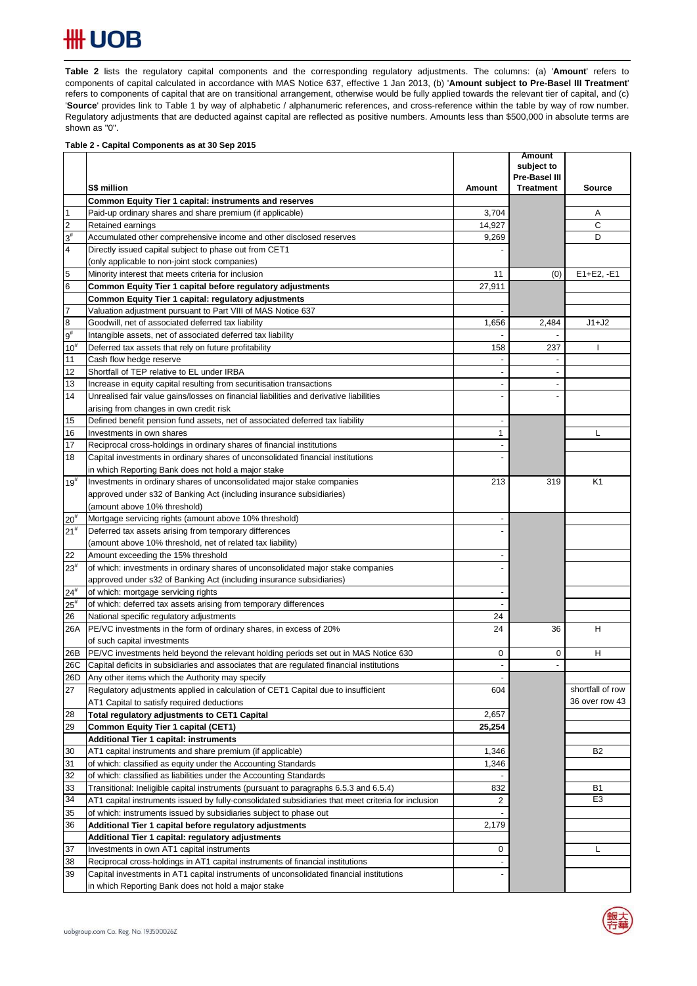# **HH UOB**

Table 2 lists the regulatory capital components and the corresponding regulatory adjustments. The columns: (a) 'Amount' refers to components of capital calculated in accordance with MAS Notice 637, effective 1 Jan 2013, (b) '**Amount subject to Pre-Basel III Treatment**' refers to components of capital that are on transitional arrangement, otherwise would be fully applied towards the relevant tier of capital, and (c) '**Source**' provides link to Table 1 by way of alphabetic / alphanumeric references, and cross-reference within the table by way of row number. Regulatory adjustments that are deducted against capital are reflected as positive numbers. Amounts less than \$500,000 in absolute terms are shown as "0".

### **Table 2 - Capital Components as at 30 Sep 2015**

|                 |                                                                                                    |                          | <b>Amount</b><br>subject to |                  |
|-----------------|----------------------------------------------------------------------------------------------------|--------------------------|-----------------------------|------------------|
|                 |                                                                                                    |                          | Pre-Basel III               |                  |
|                 | S\$ million                                                                                        | Amount                   | <b>Treatment</b>            | <b>Source</b>    |
|                 | Common Equity Tier 1 capital: instruments and reserves                                             |                          |                             |                  |
| $\overline{1}$  | Paid-up ordinary shares and share premium (if applicable)                                          | 3,704                    |                             | Α                |
| $\overline{2}$  | Retained earnings                                                                                  | 14,927                   |                             | C                |
| $3^{\sharp}$    | Accumulated other comprehensive income and other disclosed reserves                                | 9,269                    |                             | D                |
| 4               | Directly issued capital subject to phase out from CET1                                             |                          |                             |                  |
|                 | (only applicable to non-joint stock companies)                                                     |                          |                             |                  |
| 5               | Minority interest that meets criteria for inclusion                                                | 11                       | (0)                         | $E1 + E2, -E1$   |
| $6\phantom{.}6$ | Common Equity Tier 1 capital before regulatory adjustments                                         | 27,911                   |                             |                  |
|                 | Common Equity Tier 1 capital: regulatory adjustments                                               |                          |                             |                  |
| $\overline{7}$  | Valuation adjustment pursuant to Part VIII of MAS Notice 637                                       | $\overline{a}$           |                             |                  |
| $\bf{8}$        | Goodwill, net of associated deferred tax liability                                                 | 1,656                    | 2,484                       | $J1+J2$          |
| $9^{\rm \#}$    | Intangible assets, net of associated deferred tax liability                                        |                          | $\overline{a}$              |                  |
| $10^{#}$        | Deferred tax assets that rely on future profitability                                              | 158                      | 237                         |                  |
| 11              | Cash flow hedge reserve                                                                            |                          |                             |                  |
| 12              | Shortfall of TEP relative to EL under IRBA                                                         | $\overline{a}$           |                             |                  |
| 13              | Increase in equity capital resulting from securitisation transactions                              | $\overline{\phantom{a}}$ | $\overline{\phantom{a}}$    |                  |
| 14              | Unrealised fair value gains/losses on financial liabilities and derivative liabilities             |                          |                             |                  |
|                 | arising from changes in own credit risk                                                            |                          |                             |                  |
| 15              | Defined benefit pension fund assets, net of associated deferred tax liability                      | $\overline{\phantom{a}}$ |                             |                  |
| 16              | Investments in own shares                                                                          | $\mathbf{1}$             |                             | L                |
| 17              | Reciprocal cross-holdings in ordinary shares of financial institutions                             |                          |                             |                  |
| 18              | Capital investments in ordinary shares of unconsolidated financial institutions                    |                          |                             |                  |
|                 | in which Reporting Bank does not hold a major stake                                                |                          |                             |                  |
| $19^{#}$        | Investments in ordinary shares of unconsolidated major stake companies                             | 213                      | 319                         | K1               |
|                 | approved under s32 of Banking Act (including insurance subsidiaries)                               |                          |                             |                  |
|                 | (amount above 10% threshold)                                                                       |                          |                             |                  |
| 20 <sup>#</sup> | Mortgage servicing rights (amount above 10% threshold)                                             |                          |                             |                  |
| 21 <sup>#</sup> | Deferred tax assets arising from temporary differences                                             |                          |                             |                  |
|                 | (amount above 10% threshold, net of related tax liability)                                         |                          |                             |                  |
| 22              | Amount exceeding the 15% threshold                                                                 |                          |                             |                  |
| $23^{\#}$       | of which: investments in ordinary shares of unconsolidated major stake companies                   |                          |                             |                  |
|                 | approved under s32 of Banking Act (including insurance subsidiaries)                               |                          |                             |                  |
| $24^{#}$        | of which: mortgage servicing rights                                                                |                          |                             |                  |
| $25^{\rm{*}}$   | of which: deferred tax assets arising from temporary differences                                   |                          |                             |                  |
| 26              | National specific regulatory adjustments                                                           | 24                       |                             |                  |
| 26A             | PE/VC investments in the form of ordinary shares, in excess of 20%                                 | 24                       | 36                          | н                |
|                 | of such capital investments                                                                        |                          |                             |                  |
| 26B             | PE/VC investments held beyond the relevant holding periods set out in MAS Notice 630               | 0                        | 0                           | н                |
| 26C             | Capital deficits in subsidiaries and associates that are regulated financial institutions          |                          | $\overline{a}$              |                  |
| 26D             | Any other items which the Authority may specify                                                    |                          |                             |                  |
| 27              | Regulatory adjustments applied in calculation of CET1 Capital due to insufficient                  | 604                      |                             | shortfall of row |
|                 | AT1 Capital to satisfy required deductions                                                         |                          |                             | 36 over row 43   |
| 28              | Total regulatory adjustments to CET1 Capital                                                       | 2,657                    |                             |                  |
| 29              | Common Equity Tier 1 capital (CET1)                                                                | 25,254                   |                             |                  |
|                 | Additional Tier 1 capital: instruments                                                             |                          |                             |                  |
| 30              | AT1 capital instruments and share premium (if applicable)                                          | 1,346                    |                             | B <sub>2</sub>   |
| 31              | of which: classified as equity under the Accounting Standards                                      | 1,346                    |                             |                  |
| 32              | of which: classified as liabilities under the Accounting Standards                                 |                          |                             |                  |
| 33              | Transitional: Ineligible capital instruments (pursuant to paragraphs 6.5.3 and 6.5.4)              | 832                      |                             | B1               |
| 34              | AT1 capital instruments issued by fully-consolidated subsidiaries that meet criteria for inclusion | 2                        |                             | E <sub>3</sub>   |
| 35              | of which: instruments issued by subsidiaries subject to phase out                                  |                          |                             |                  |
| 36              | Additional Tier 1 capital before regulatory adjustments                                            | 2,179                    |                             |                  |
|                 | Additional Tier 1 capital: regulatory adjustments                                                  |                          |                             |                  |
| 37              | Investments in own AT1 capital instruments                                                         | 0                        |                             | L                |
| 38              | Reciprocal cross-holdings in AT1 capital instruments of financial institutions                     |                          |                             |                  |
| 39              | Capital investments in AT1 capital instruments of unconsolidated financial institutions            |                          |                             |                  |
|                 | in which Reporting Bank does not hold a major stake                                                |                          |                             |                  |

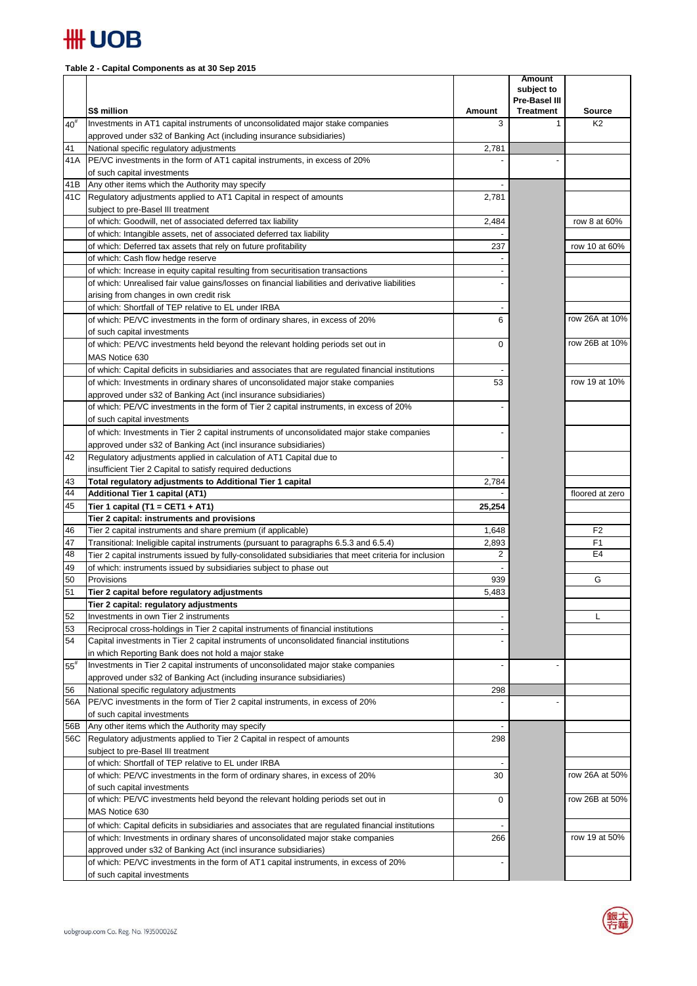

## **Table 2 - Capital Components as at 30 Sep 2015**

|           | S\$ million                                                                                                                              | Amount | <b>Amount</b><br>subject to<br>Pre-Basel III<br><b>Treatment</b> | <b>Source</b>   |
|-----------|------------------------------------------------------------------------------------------------------------------------------------------|--------|------------------------------------------------------------------|-----------------|
| $40^{#}$  | Investments in AT1 capital instruments of unconsolidated major stake companies                                                           | 3      | $\mathbf{1}$                                                     | K <sub>2</sub>  |
|           | approved under s32 of Banking Act (including insurance subsidiaries)                                                                     |        |                                                                  |                 |
| 41        | National specific regulatory adjustments                                                                                                 | 2,781  |                                                                  |                 |
| 41 A      | PE/VC investments in the form of AT1 capital instruments, in excess of 20%                                                               |        |                                                                  |                 |
|           | of such capital investments                                                                                                              |        |                                                                  |                 |
| 41B       | Any other items which the Authority may specify                                                                                          |        |                                                                  |                 |
|           | 41C Regulatory adjustments applied to AT1 Capital in respect of amounts                                                                  | 2,781  |                                                                  |                 |
|           | subject to pre-Basel III treatment                                                                                                       |        |                                                                  |                 |
|           | of which: Goodwill, net of associated deferred tax liability                                                                             | 2,484  |                                                                  | row 8 at 60%    |
|           | of which: Intangible assets, net of associated deferred tax liability<br>of which: Deferred tax assets that rely on future profitability | 237    |                                                                  | row 10 at 60%   |
|           | of which: Cash flow hedge reserve                                                                                                        |        |                                                                  |                 |
|           | of which: Increase in equity capital resulting from securitisation transactions                                                          |        |                                                                  |                 |
|           | of which: Unrealised fair value gains/losses on financial liabilities and derivative liabilities                                         |        |                                                                  |                 |
|           | arising from changes in own credit risk                                                                                                  |        |                                                                  |                 |
|           | of which: Shortfall of TEP relative to EL under IRBA                                                                                     |        |                                                                  |                 |
|           | of which: PE/VC investments in the form of ordinary shares, in excess of 20%                                                             | 6      |                                                                  | row 26A at 10%  |
|           | of such capital investments                                                                                                              |        |                                                                  |                 |
|           | of which: PE/VC investments held beyond the relevant holding periods set out in                                                          | 0      |                                                                  | row 26B at 10%  |
|           | MAS Notice 630                                                                                                                           |        |                                                                  |                 |
|           | of which: Capital deficits in subsidiaries and associates that are regulated financial institutions                                      |        |                                                                  |                 |
|           | of which: Investments in ordinary shares of unconsolidated major stake companies                                                         | 53     |                                                                  | row 19 at 10%   |
|           | approved under s32 of Banking Act (incl insurance subsidiaries)                                                                          |        |                                                                  |                 |
|           | of which: PE/VC investments in the form of Tier 2 capital instruments, in excess of 20%                                                  |        |                                                                  |                 |
|           | of such capital investments                                                                                                              |        |                                                                  |                 |
|           | of which: Investments in Tier 2 capital instruments of unconsolidated major stake companies                                              |        |                                                                  |                 |
|           | approved under s32 of Banking Act (incl insurance subsidiaries)                                                                          |        |                                                                  |                 |
| 42        | Regulatory adjustments applied in calculation of AT1 Capital due to                                                                      |        |                                                                  |                 |
|           | insufficient Tier 2 Capital to satisfy required deductions                                                                               |        |                                                                  |                 |
| 43        | Total regulatory adjustments to Additional Tier 1 capital                                                                                | 2,784  |                                                                  |                 |
| 44<br>45  | <b>Additional Tier 1 capital (AT1)</b>                                                                                                   |        |                                                                  | floored at zero |
|           | Tier 1 capital (T1 = CET1 + AT1)<br>Tier 2 capital: instruments and provisions                                                           | 25,254 |                                                                  |                 |
| 46        | Tier 2 capital instruments and share premium (if applicable)                                                                             | 1,648  |                                                                  | F <sub>2</sub>  |
| 47        | Transitional: Ineligible capital instruments (pursuant to paragraphs 6.5.3 and 6.5.4)                                                    | 2,893  |                                                                  | F1              |
| 48        | Tier 2 capital instruments issued by fully-consolidated subsidiaries that meet criteria for inclusion                                    | 2      |                                                                  | E <sub>4</sub>  |
| 49        | of which: instruments issued by subsidiaries subject to phase out                                                                        |        |                                                                  |                 |
| 50        | Provisions                                                                                                                               | 939    |                                                                  | G               |
| 51        | Tier 2 capital before regulatory adjustments                                                                                             | 5,483  |                                                                  |                 |
|           | Tier 2 capital: regulatory adjustments                                                                                                   |        |                                                                  |                 |
| 52        | Investments in own Tier 2 instruments                                                                                                    |        |                                                                  | L               |
| 53        | Reciprocal cross-holdings in Tier 2 capital instruments of financial institutions                                                        |        |                                                                  |                 |
| 54        | Capital investments in Tier 2 capital instruments of unconsolidated financial institutions                                               |        |                                                                  |                 |
|           | in which Reporting Bank does not hold a major stake                                                                                      |        |                                                                  |                 |
| $55^{#}$  | Investments in Tier 2 capital instruments of unconsolidated major stake companies                                                        |        |                                                                  |                 |
|           | approved under s32 of Banking Act (including insurance subsidiaries)                                                                     |        |                                                                  |                 |
| 56<br>56A | National specific regulatory adjustments<br>PE/VC investments in the form of Tier 2 capital instruments, in excess of 20%                | 298    |                                                                  |                 |
|           | of such capital investments                                                                                                              |        |                                                                  |                 |
| 56B       | Any other items which the Authority may specify                                                                                          |        |                                                                  |                 |
| 56C       | Regulatory adjustments applied to Tier 2 Capital in respect of amounts                                                                   | 298    |                                                                  |                 |
|           | subject to pre-Basel III treatment                                                                                                       |        |                                                                  |                 |
|           | of which: Shortfall of TEP relative to EL under IRBA                                                                                     |        |                                                                  |                 |
|           | of which: PE/VC investments in the form of ordinary shares, in excess of 20%                                                             | 30     |                                                                  | row 26A at 50%  |
|           | of such capital investments                                                                                                              |        |                                                                  |                 |
|           | of which: PE/VC investments held beyond the relevant holding periods set out in                                                          | 0      |                                                                  | row 26B at 50%  |
|           | MAS Notice 630                                                                                                                           |        |                                                                  |                 |
|           | of which: Capital deficits in subsidiaries and associates that are regulated financial institutions                                      |        |                                                                  |                 |
|           | of which: Investments in ordinary shares of unconsolidated major stake companies                                                         | 266    |                                                                  | row 19 at 50%   |
|           | approved under s32 of Banking Act (incl insurance subsidiaries)                                                                          |        |                                                                  |                 |
|           | of which: PE/VC investments in the form of AT1 capital instruments, in excess of 20%                                                     |        |                                                                  |                 |
|           | of such capital investments                                                                                                              |        |                                                                  |                 |